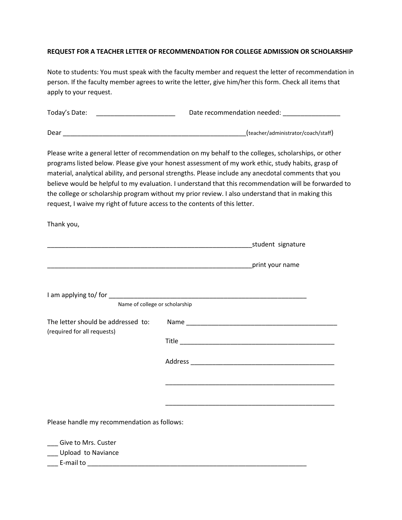## **REQUEST FOR A TEACHER LETTER OF RECOMMENDATION FOR COLLEGE ADMISSION OR SCHOLARSHIP**

Note to students: You must speak with the faculty member and request the letter of recommendation in person. If the faculty member agrees to write the letter, give him/her this form. Check all items that apply to your request.

| Today's Date: _________________________                                    | Date recommendation needed: ________________                                                                                                                                                                                                                                                                                                                                                                                                                                                                                     |
|----------------------------------------------------------------------------|----------------------------------------------------------------------------------------------------------------------------------------------------------------------------------------------------------------------------------------------------------------------------------------------------------------------------------------------------------------------------------------------------------------------------------------------------------------------------------------------------------------------------------|
|                                                                            | (teacher/administrator/coach/staff)                                                                                                                                                                                                                                                                                                                                                                                                                                                                                              |
| request, I waive my right of future access to the contents of this letter. | Please write a general letter of recommendation on my behalf to the colleges, scholarships, or other<br>programs listed below. Please give your honest assessment of my work ethic, study habits, grasp of<br>material, analytical ability, and personal strengths. Please include any anecdotal comments that you<br>believe would be helpful to my evaluation. I understand that this recommendation will be forwarded to<br>the college or scholarship program without my prior review. I also understand that in making this |
| Thank you,                                                                 |                                                                                                                                                                                                                                                                                                                                                                                                                                                                                                                                  |
|                                                                            |                                                                                                                                                                                                                                                                                                                                                                                                                                                                                                                                  |
|                                                                            |                                                                                                                                                                                                                                                                                                                                                                                                                                                                                                                                  |
| Name of college or scholarship                                             |                                                                                                                                                                                                                                                                                                                                                                                                                                                                                                                                  |
| The letter should be addressed to:<br>(required for all requests)          |                                                                                                                                                                                                                                                                                                                                                                                                                                                                                                                                  |
|                                                                            |                                                                                                                                                                                                                                                                                                                                                                                                                                                                                                                                  |

Address \_\_\_\_\_\_\_\_\_\_\_\_\_\_\_\_\_\_\_\_\_\_\_\_\_\_\_\_\_\_\_\_\_\_\_\_\_\_\_\_

\_\_\_\_\_\_\_\_\_\_\_\_\_\_\_\_\_\_\_\_\_\_\_\_\_\_\_\_\_\_\_\_\_\_\_\_\_\_\_\_\_\_\_\_\_\_\_

\_\_\_\_\_\_\_\_\_\_\_\_\_\_\_\_\_\_\_\_\_\_\_\_\_\_\_\_\_\_\_\_\_\_\_\_\_\_\_\_\_\_\_\_\_\_\_

Please handle my recommendation as follows:

\_\_\_ Give to Mrs. Custer

\_\_\_ Upload to Naviance

 $\frac{1}{2}$  E-mail to  $\frac{1}{2}$  E-mail to  $\frac{1}{2}$